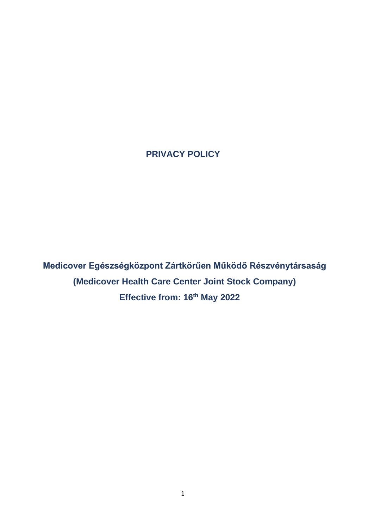**PRIVACY POLICY**

**Medicover Egészségközpont Zártkörűen Működő Részvénytársaság (Medicover Health Care Center Joint Stock Company) Effective from: 16th May 2022**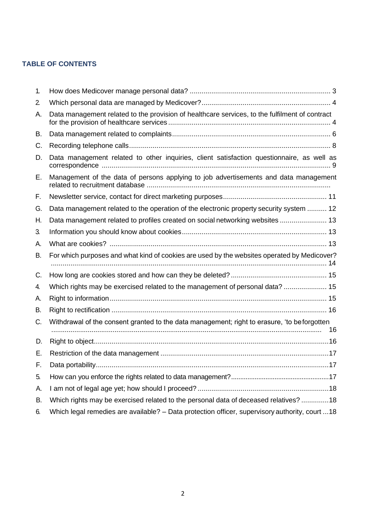## **TABLE OF CONTENTS**

| 1. |                                                                                                 |
|----|-------------------------------------------------------------------------------------------------|
| 2. |                                                                                                 |
| А. | Data management related to the provision of healthcare services, to the fulfilment of contract  |
| В. |                                                                                                 |
| C. |                                                                                                 |
| D. | Data management related to other inquiries, client satisfaction questionnaire, as well as       |
| Е. | Management of the data of persons applying to job advertisements and data management            |
| F. |                                                                                                 |
| G. | Data management related to the operation of the electronic property security system  12         |
| Н. | Data management related to profiles created on social networking websites  13                   |
| 3. |                                                                                                 |
| А. |                                                                                                 |
| В. | For which purposes and what kind of cookies are used by the websites operated by Medicover?     |
| C. |                                                                                                 |
| 4. | Which rights may be exercised related to the management of personal data?  15                   |
| А. |                                                                                                 |
| В. |                                                                                                 |
| C. | Withdrawal of the consent granted to the data management; right to erasure, 'to beforgotten     |
| D. |                                                                                                 |
| Е. |                                                                                                 |
| F. |                                                                                                 |
| 5. |                                                                                                 |
| А. |                                                                                                 |
| В. | Which rights may be exercised related to the personal data of deceased relatives?  18           |
| 6. | Which legal remedies are available? - Data protection officer, supervisory authority, court  18 |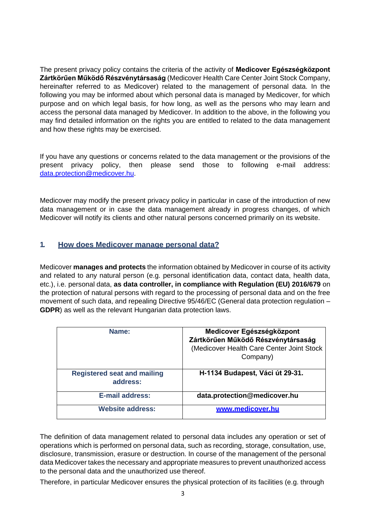The present privacy policy contains the criteria of the activity of **Medicover Egészségközpont Zártkörűen Működő Részvénytársaság** (Medicover Health Care Center Joint Stock Company, hereinafter referred to as Medicover) related to the management of personal data. In the following you may be informed about which personal data is managed by Medicover, for which purpose and on which legal basis, for how long, as well as the persons who may learn and access the personal data managed by Medicover. In addition to the above, in the following you may find detailed information on the rights you are entitled to related to the data management and how these rights may be exercised.

If you have any questions or concerns related to the data management or the provisions of the present privacy policy, then please send those to following e-mail address: [data.protection@medicover.hu.](mailto:data.protection@medicover.hu)

Medicover may modify the present privacy policy in particular in case of the introduction of new data management or in case the data management already in progress changes, of which Medicover will notify its clients and other natural persons concerned primarily on its website.

## <span id="page-2-0"></span>**1. How does Medicover manage personal data?**

Medicover **manages and protects** the information obtained by Medicover in course of its activity and related to any natural person (e.g. personal identification data, contact data, health data, etc.), i.e. personal data, **as data controller, in compliance with Regulation (EU) 2016/679** on the protection of natural persons with regard to the processing of personal data and on the free movement of such data, and repealing Directive 95/46/EC (General data protection regulation – **GDPR**) as well as the relevant Hungarian data protection laws.

| Name:                                          | Medicover Egészségközpont<br>Zártkörűen Működő Részvénytársaság<br>(Medicover Health Care Center Joint Stock<br>Company) |
|------------------------------------------------|--------------------------------------------------------------------------------------------------------------------------|
| <b>Registered seat and mailing</b><br>address: | H-1134 Budapest, Váci út 29-31.                                                                                          |
| <b>E-mail address:</b>                         | data.protection@medicover.hu                                                                                             |
| <b>Website address:</b>                        | www.medicover.hu                                                                                                         |

The definition of data management related to personal data includes any operation or set of operations which is performed on personal data, such as recording, storage, consultation, use, disclosure, transmission, erasure or destruction. In course of the management of the personal data Medicover takes the necessary and appropriate measures to prevent unauthorized access to the personal data and the unauthorized use thereof.

Therefore, in particular Medicover ensures the physical protection of its facilities (e.g. through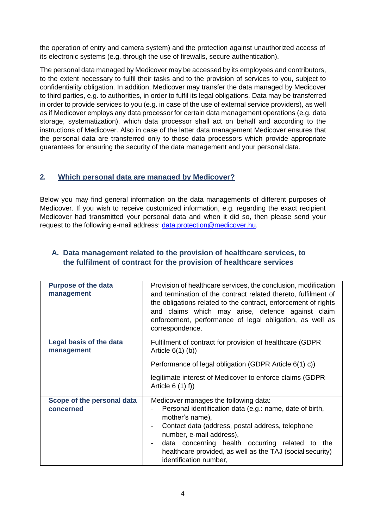the operation of entry and camera system) and the protection against unauthorized access of its electronic systems (e.g. through the use of firewalls, secure authentication).

The personal data managed by Medicover may be accessed by its employees and contributors, to the extent necessary to fulfil their tasks and to the provision of services to you, subject to confidentiality obligation. In addition, Medicover may transfer the data managed by Medicover to third parties, e.g. to authorities, in order to fulfil its legal obligations. Data may be transferred in order to provide services to you (e.g. in case of the use of external service providers), as well as if Medicover employs any data processor for certain data management operations (e.g. data storage, systematization), which data processor shall act on behalf and according to the instructions of Medicover. Also in case of the latter data management Medicover ensures that the personal data are transferred only to those data processors which provide appropriate guarantees for ensuring the security of the data management and your personal data.

## <span id="page-3-0"></span>**2. Which personal data are managed by Medicover?**

Below you may find general information on the data managements of different purposes of Medicover. If you wish to receive customized information, e.g. regarding the exact recipient Medicover had transmitted your personal data and when it did so, then please send your request to the following e-mail address: [data.protection@medicover.hu.](mailto:data.protection@medicover.hu)

| <b>Purpose of the data</b><br>management     | Provision of healthcare services, the conclusion, modification<br>and termination of the contract related thereto, fulfilment of<br>the obligations related to the contract, enforcement of rights<br>and claims which may arise, defence against claim<br>enforcement, performance of legal obligation, as well as<br>correspondence.            |
|----------------------------------------------|---------------------------------------------------------------------------------------------------------------------------------------------------------------------------------------------------------------------------------------------------------------------------------------------------------------------------------------------------|
| <b>Legal basis of the data</b><br>management | Fulfilment of contract for provision of healthcare (GDPR)<br>Article $6(1)$ (b))<br>Performance of legal obligation (GDPR Article 6(1) c))<br>legitimate interest of Medicover to enforce claims (GDPR<br>Article $6(1) f$ )                                                                                                                      |
| Scope of the personal data<br>concerned      | Medicover manages the following data:<br>Personal identification data (e.g.: name, date of birth,<br>mother's name),<br>Contact data (address, postal address, telephone<br>number, e-mail address),<br>data concerning health occurring related to<br>the<br>healthcare provided, as well as the TAJ (social security)<br>identification number, |

## <span id="page-3-1"></span>**A. Data management related to the provision of healthcare services, to the fulfilment of contract for the provision of healthcare services**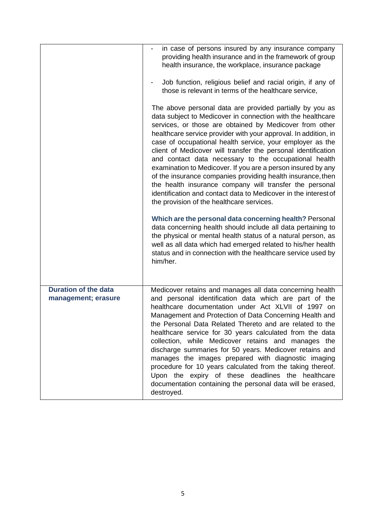|                                                    | in case of persons insured by any insurance company<br>providing health insurance and in the framework of group<br>health insurance, the workplace, insurance package<br>Job function, religious belief and racial origin, if any of<br>those is relevant in terms of the healthcare service,                                                                                                                                                                                                                                                                                                                                                                                                                                                          |
|----------------------------------------------------|--------------------------------------------------------------------------------------------------------------------------------------------------------------------------------------------------------------------------------------------------------------------------------------------------------------------------------------------------------------------------------------------------------------------------------------------------------------------------------------------------------------------------------------------------------------------------------------------------------------------------------------------------------------------------------------------------------------------------------------------------------|
|                                                    | The above personal data are provided partially by you as<br>data subject to Medicover in connection with the healthcare<br>services, or those are obtained by Medicover from other<br>healthcare service provider with your approval. In addition, in<br>case of occupational health service, your employer as the<br>client of Medicover will transfer the personal identification<br>and contact data necessary to the occupational health<br>examination to Medicover. If you are a person insured by any<br>of the insurance companies providing health insurance, then<br>the health insurance company will transfer the personal<br>identification and contact data to Medicover in the interest of<br>the provision of the healthcare services. |
|                                                    | Which are the personal data concerning health? Personal<br>data concerning health should include all data pertaining to<br>the physical or mental health status of a natural person, as<br>well as all data which had emerged related to his/her health<br>status and in connection with the healthcare service used by<br>him/her.                                                                                                                                                                                                                                                                                                                                                                                                                    |
| <b>Duration of the data</b><br>management; erasure | Medicover retains and manages all data concerning health<br>and personal identification data which are part of the<br>healthcare documentation under Act XLVII of 1997 on<br>Management and Protection of Data Concerning Health and<br>the Personal Data Related Thereto and are related to the<br>healthcare service for 30 years calculated from the data<br>collection, while Medicover retains and manages the<br>discharge summaries for 50 years. Medicover retains and<br>manages the images prepared with diagnostic imaging<br>procedure for 10 years calculated from the taking thereof.<br>Upon the expiry of these deadlines the healthcare<br>documentation containing the personal data will be erased,<br>destroyed.                   |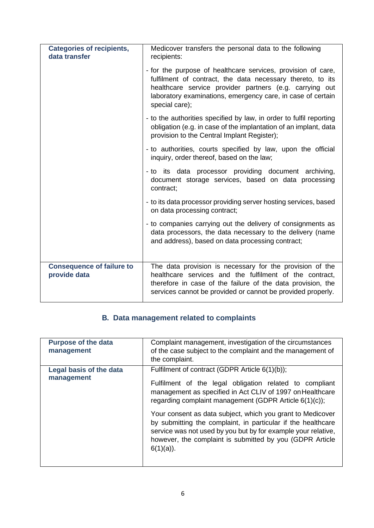| <b>Categories of recipients,</b><br>data transfer | Medicover transfers the personal data to the following<br>recipients:                                                                                                                                                                                                  |
|---------------------------------------------------|------------------------------------------------------------------------------------------------------------------------------------------------------------------------------------------------------------------------------------------------------------------------|
|                                                   | - for the purpose of healthcare services, provision of care,<br>fulfilment of contract, the data necessary thereto, to its<br>healthcare service provider partners (e.g. carrying out<br>laboratory examinations, emergency care, in case of certain<br>special care); |
|                                                   | - to the authorities specified by law, in order to fulfil reporting<br>obligation (e.g. in case of the implantation of an implant, data<br>provision to the Central Implant Register);                                                                                 |
|                                                   | - to authorities, courts specified by law, upon the official<br>inquiry, order thereof, based on the law;                                                                                                                                                              |
|                                                   | - to its data processor providing document archiving,<br>document storage services, based on data processing<br>contract;                                                                                                                                              |
|                                                   | - to its data processor providing server hosting services, based<br>on data processing contract;                                                                                                                                                                       |
|                                                   | - to companies carrying out the delivery of consignments as<br>data processors, the data necessary to the delivery (name<br>and address), based on data processing contract;                                                                                           |
| <b>Consequence of failure to</b>                  | The data provision is necessary for the provision of the                                                                                                                                                                                                               |
| provide data                                      | healthcare services and the fulfilment of the contract,<br>therefore in case of the failure of the data provision, the<br>services cannot be provided or cannot be provided properly.                                                                                  |

## **B. Data management related to complaints**

| <b>Purpose of the data</b><br>management | Complaint management, investigation of the circumstances<br>of the case subject to the complaint and the management of<br>the complaint.                                                                                                                                |
|------------------------------------------|-------------------------------------------------------------------------------------------------------------------------------------------------------------------------------------------------------------------------------------------------------------------------|
| Legal basis of the data<br>management    | Fulfilment of contract (GDPR Article 6(1)(b));<br>Fulfilment of the legal obligation related to compliant<br>management as specified in Act CLIV of 1997 on Healthcare<br>regarding complaint management (GDPR Article 6(1)(c));                                        |
|                                          | Your consent as data subject, which you grant to Medicover<br>by submitting the complaint, in particular if the healthcare<br>service was not used by you but by for example your relative,<br>however, the complaint is submitted by you (GDPR Article<br>$6(1)(a)$ ). |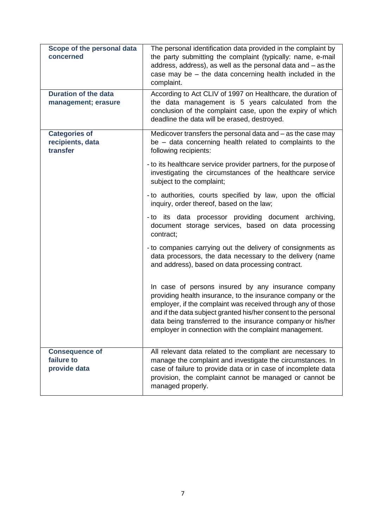| Scope of the personal data<br>concerned              | The personal identification data provided in the complaint by<br>the party submitting the complaint (typically: name, e-mail<br>address, address), as well as the personal data and - as the<br>case may be $-$ the data concerning health included in the<br>complaint.                                                                                                     |
|------------------------------------------------------|------------------------------------------------------------------------------------------------------------------------------------------------------------------------------------------------------------------------------------------------------------------------------------------------------------------------------------------------------------------------------|
| <b>Duration of the data</b><br>management; erasure   | According to Act CLIV of 1997 on Healthcare, the duration of<br>the data management is 5 years calculated from the<br>conclusion of the complaint case, upon the expiry of which<br>deadline the data will be erased, destroyed.                                                                                                                                             |
| <b>Categories of</b><br>recipients, data<br>transfer | Medicover transfers the personal data and $-$ as the case may<br>be - data concerning health related to complaints to the<br>following recipients:                                                                                                                                                                                                                           |
|                                                      | - to its healthcare service provider partners, for the purpose of<br>investigating the circumstances of the healthcare service<br>subject to the complaint;                                                                                                                                                                                                                  |
|                                                      | - to authorities, courts specified by law, upon the official<br>inquiry, order thereof, based on the law;                                                                                                                                                                                                                                                                    |
|                                                      | - to its data processor providing document archiving,<br>document storage services, based on data processing<br>contract;                                                                                                                                                                                                                                                    |
|                                                      | - to companies carrying out the delivery of consignments as<br>data processors, the data necessary to the delivery (name<br>and address), based on data processing contract.                                                                                                                                                                                                 |
|                                                      | In case of persons insured by any insurance company<br>providing health insurance, to the insurance company or the<br>employer, if the complaint was received through any of those<br>and if the data subject granted his/her consent to the personal<br>data being transferred to the insurance company or his/her<br>employer in connection with the complaint management. |
| <b>Consequence of</b><br>failure to<br>provide data  | All relevant data related to the compliant are necessary to<br>manage the complaint and investigate the circumstances. In<br>case of failure to provide data or in case of incomplete data<br>provision, the complaint cannot be managed or cannot be<br>managed properly.                                                                                                   |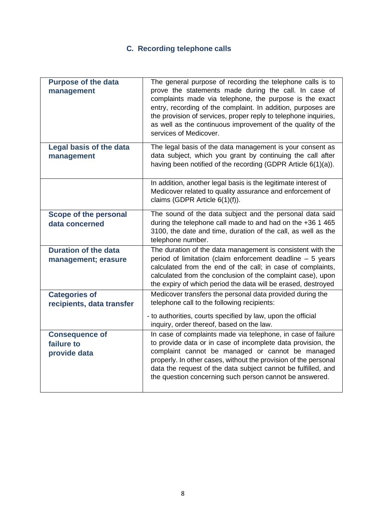# **C. Recording telephone calls**

| <b>Purpose of the data</b><br>management            | The general purpose of recording the telephone calls is to<br>prove the statements made during the call. In case of<br>complaints made via telephone, the purpose is the exact<br>entry, recording of the complaint. In addition, purposes are<br>the provision of services, proper reply to telephone inquiries,<br>as well as the continuous improvement of the quality of the<br>services of Medicover. |
|-----------------------------------------------------|------------------------------------------------------------------------------------------------------------------------------------------------------------------------------------------------------------------------------------------------------------------------------------------------------------------------------------------------------------------------------------------------------------|
| <b>Legal basis of the data</b><br>management        | The legal basis of the data management is your consent as<br>data subject, which you grant by continuing the call after<br>having been notified of the recording (GDPR Article 6(1)(a)).                                                                                                                                                                                                                   |
|                                                     | In addition, another legal basis is the legitimate interest of<br>Medicover related to quality assurance and enforcement of<br>claims (GDPR Article 6(1)(f)).                                                                                                                                                                                                                                              |
| <b>Scope of the personal</b><br>data concerned      | The sound of the data subject and the personal data said<br>during the telephone call made to and had on the +36 1 465<br>3100, the date and time, duration of the call, as well as the<br>telephone number.                                                                                                                                                                                               |
| <b>Duration of the data</b><br>management; erasure  | The duration of the data management is consistent with the<br>period of limitation (claim enforcement deadline - 5 years<br>calculated from the end of the call; in case of complaints,<br>calculated from the conclusion of the complaint case), upon<br>the expiry of which period the data will be erased, destroyed                                                                                    |
| <b>Categories of</b>                                | Medicover transfers the personal data provided during the<br>telephone call to the following recipients:                                                                                                                                                                                                                                                                                                   |
| recipients, data transfer                           | - to authorities, courts specified by law, upon the official<br>inquiry, order thereof, based on the law.                                                                                                                                                                                                                                                                                                  |
| <b>Consequence of</b><br>failure to<br>provide data | In case of complaints made via telephone, in case of failure<br>to provide data or in case of incomplete data provision, the<br>complaint cannot be managed or cannot be managed<br>properly. In other cases, without the provision of the personal<br>data the request of the data subject cannot be fulfilled, and<br>the question concerning such person cannot be answered.                            |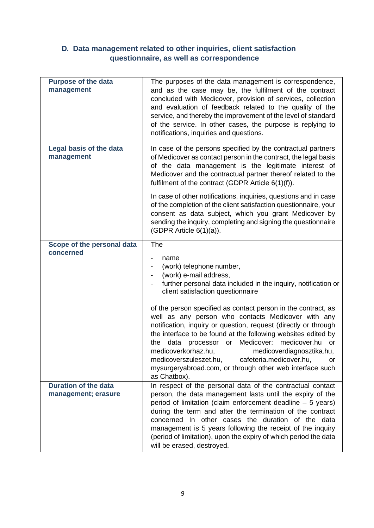## **D. Data management related to other inquiries, client satisfaction questionnaire, as well as correspondence**

| <b>Purpose of the data</b><br>management           | The purposes of the data management is correspondence,<br>and as the case may be, the fulfilment of the contract<br>concluded with Medicover, provision of services, collection<br>and evaluation of feedback related to the quality of the<br>service, and thereby the improvement of the level of standard<br>of the service. In other cases, the purpose is replying to<br>notifications, inquiries and questions.                                                                                                                                                                                                                                                                 |
|----------------------------------------------------|---------------------------------------------------------------------------------------------------------------------------------------------------------------------------------------------------------------------------------------------------------------------------------------------------------------------------------------------------------------------------------------------------------------------------------------------------------------------------------------------------------------------------------------------------------------------------------------------------------------------------------------------------------------------------------------|
| <b>Legal basis of the data</b><br>management       | In case of the persons specified by the contractual partners<br>of Medicover as contact person in the contract, the legal basis<br>of the data management is the legitimate interest of<br>Medicover and the contractual partner thereof related to the<br>fulfilment of the contract (GDPR Article $6(1)(f)$ ).<br>In case of other notifications, inquiries, questions and in case<br>of the completion of the client satisfaction questionnaire, your<br>consent as data subject, which you grant Medicover by<br>sending the inquiry, completing and signing the questionnaire<br>(GDPR Article 6(1)(a)).                                                                         |
| Scope of the personal data<br>concerned            | The<br>name<br>(work) telephone number,<br>(work) e-mail address,<br>further personal data included in the inquiry, notification or<br>client satisfaction questionnaire<br>of the person specified as contact person in the contract, as<br>well as any person who contacts Medicover with any<br>notification, inquiry or question, request (directly or through<br>the interface to be found at the following websites edited by<br>the data processor or Medicover:<br>medicover.hu or<br>medicoverkorhaz.hu,<br>medicoverdiagnosztika.hu,<br>medicoverszuleszet.hu,<br>cafeteria.medicover.hu,<br>or<br>mysurgeryabroad.com, or through other web interface such<br>as Chatbox). |
| <b>Duration of the data</b><br>management; erasure | In respect of the personal data of the contractual contact<br>person, the data management lasts until the expiry of the<br>period of limitation (claim enforcement deadline - 5 years)<br>during the term and after the termination of the contract<br>concerned In other cases the duration of the data<br>management is 5 years following the receipt of the inquiry<br>(period of limitation), upon the expiry of which period the data<br>will be erased, destroyed.                                                                                                                                                                                                              |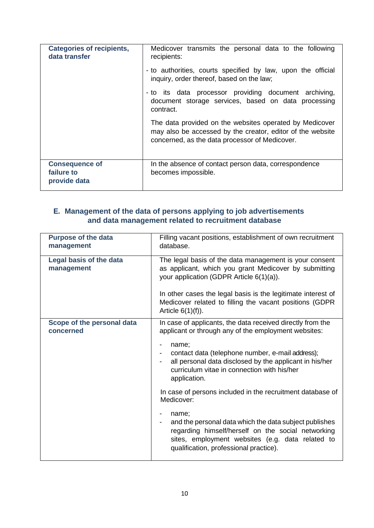| <b>Categories of recipients,</b><br>data transfer   | Medicover transmits the personal data to the following<br>recipients:                                                                                                   |
|-----------------------------------------------------|-------------------------------------------------------------------------------------------------------------------------------------------------------------------------|
|                                                     | - to authorities, courts specified by law, upon the official<br>inquiry, order thereof, based on the law;                                                               |
|                                                     | - to its data processor providing document archiving,<br>document storage services, based on data processing<br>contract.                                               |
|                                                     | The data provided on the websites operated by Medicover<br>may also be accessed by the creator, editor of the website<br>concerned, as the data processor of Medicover. |
| <b>Consequence of</b><br>failure to<br>provide data | In the absence of contact person data, correspondence<br>becomes impossible.                                                                                            |

## **E. Management of the data of persons applying to job advertisements and data management related to recruitment database**

| <b>Purpose of the data</b><br>management     | Filling vacant positions, establishment of own recruitment<br>database.                                                                                                                                             |
|----------------------------------------------|---------------------------------------------------------------------------------------------------------------------------------------------------------------------------------------------------------------------|
| <b>Legal basis of the data</b><br>management | The legal basis of the data management is your consent<br>as applicant, which you grant Medicover by submitting<br>your application (GDPR Article $6(1)(a)$ ).                                                      |
|                                              | In other cases the legal basis is the legitimate interest of<br>Medicover related to filling the vacant positions (GDPR)<br>Article $6(1)(f)$ ).                                                                    |
| Scope of the personal data<br>concerned      | In case of applicants, the data received directly from the<br>applicant or through any of the employment websites:                                                                                                  |
|                                              | name;<br>contact data (telephone number, e-mail address);<br>all personal data disclosed by the applicant in his/her<br>curriculum vitae in connection with his/her<br>application.                                 |
|                                              | In case of persons included in the recruitment database of<br>Medicover:                                                                                                                                            |
|                                              | name;<br>and the personal data which the data subject publishes<br>regarding himself/herself on the social networking<br>sites, employment websites (e.g. data related to<br>qualification, professional practice). |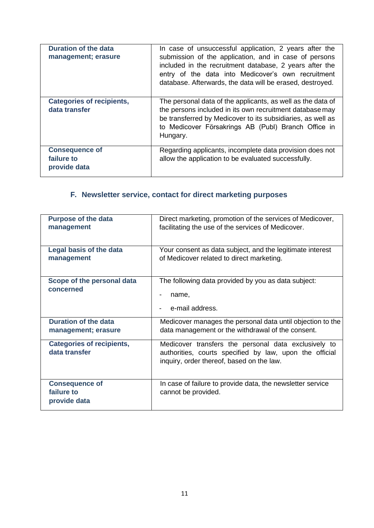| <b>Duration of the data</b><br>management; erasure  | In case of unsuccessful application, 2 years after the<br>submission of the application, and in case of persons<br>included in the recruitment database, 2 years after the<br>entry of the data into Medicover's own recruitment<br>database. Afterwards, the data will be erased, destroyed. |
|-----------------------------------------------------|-----------------------------------------------------------------------------------------------------------------------------------------------------------------------------------------------------------------------------------------------------------------------------------------------|
| <b>Categories of recipients,</b><br>data transfer   | The personal data of the applicants, as well as the data of<br>the persons included in its own recruitment database may<br>be transferred by Medicover to its subsidiaries, as well as<br>to Medicover Försakrings AB (Publ) Branch Office in<br>Hungary.                                     |
| <b>Consequence of</b><br>failure to<br>provide data | Regarding applicants, incomplete data provision does not<br>allow the application to be evaluated successfully.                                                                                                                                                                               |

## **F. Newsletter service, contact for direct marketing purposes**

<span id="page-10-0"></span>

| <b>Purpose of the data</b><br>management            | Direct marketing, promotion of the services of Medicover,<br>facilitating the use of the services of Medicover.                                              |
|-----------------------------------------------------|--------------------------------------------------------------------------------------------------------------------------------------------------------------|
| Legal basis of the data<br>management               | Your consent as data subject, and the legitimate interest<br>of Medicover related to direct marketing.                                                       |
| Scope of the personal data<br>concerned             | The following data provided by you as data subject:<br>name,<br>e-mail address.                                                                              |
| <b>Duration of the data</b><br>management; erasure  | Medicover manages the personal data until objection to the<br>data management or the withdrawal of the consent.                                              |
| <b>Categories of recipients,</b><br>data transfer   | Medicover transfers the personal data exclusively to<br>authorities, courts specified by law, upon the official<br>inquiry, order thereof, based on the law. |
| <b>Consequence of</b><br>failure to<br>provide data | In case of failure to provide data, the newsletter service<br>cannot be provided.                                                                            |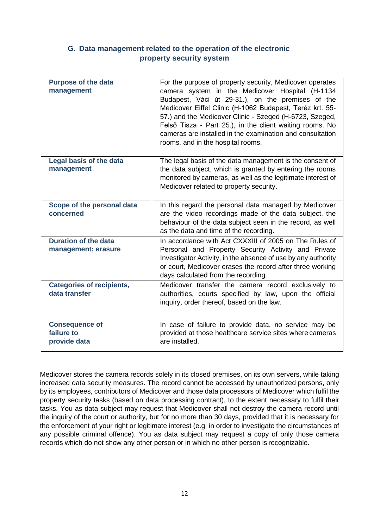## **G. Data management related to the operation of the electronic property security system**

<span id="page-11-0"></span>

| <b>Purpose of the data</b><br>management            | For the purpose of property security, Medicover operates<br>camera system in the Medicover Hospital (H-1134<br>Budapest, Váci út 29-31.), on the premises of the<br>Medicover Eiffel Clinic (H-1062 Budapest, Teréz krt. 55-<br>57.) and the Medicover Clinic - Szeged (H-6723, Szeged,<br>Felső Tisza - Part 25.), in the client waiting rooms. No<br>cameras are installed in the examination and consultation<br>rooms, and in the hospital rooms. |
|-----------------------------------------------------|-------------------------------------------------------------------------------------------------------------------------------------------------------------------------------------------------------------------------------------------------------------------------------------------------------------------------------------------------------------------------------------------------------------------------------------------------------|
| Legal basis of the data<br>management               | The legal basis of the data management is the consent of<br>the data subject, which is granted by entering the rooms<br>monitored by cameras, as well as the legitimate interest of<br>Medicover related to property security.                                                                                                                                                                                                                        |
| Scope of the personal data<br>concerned             | In this regard the personal data managed by Medicover<br>are the video recordings made of the data subject, the<br>behaviour of the data subject seen in the record, as well<br>as the data and time of the recording.                                                                                                                                                                                                                                |
| <b>Duration of the data</b><br>management; erasure  | In accordance with Act CXXXIII of 2005 on The Rules of<br>Personal and Property Security Activity and Private<br>Investigator Activity, in the absence of use by any authority<br>or court, Medicover erases the record after three working<br>days calculated from the recording.                                                                                                                                                                    |
| <b>Categories of recipients,</b><br>data transfer   | Medicover transfer the camera record exclusively to<br>authorities, courts specified by law, upon the official<br>inquiry, order thereof, based on the law.                                                                                                                                                                                                                                                                                           |
| <b>Consequence of</b><br>failure to<br>provide data | In case of failure to provide data, no service may be<br>provided at those healthcare service sites where cameras<br>are installed.                                                                                                                                                                                                                                                                                                                   |

Medicover stores the camera records solely in its closed premises, on its own servers, while taking increased data security measures. The record cannot be accessed by unauthorized persons, only by its employees, contributors of Medicover and those data processors of Medicover which fulfil the property security tasks (based on data processing contract), to the extent necessary to fulfil their tasks. You as data subject may request that Medicover shall not destroy the camera record until the inquiry of the court or authority, but for no more than 30 days, provided that it is necessary for the enforcement of your right or legitimate interest (e.g. in order to investigate the circumstances of any possible criminal offence). You as data subject may request a copy of only those camera records which do not show any other person or in which no other person is recognizable.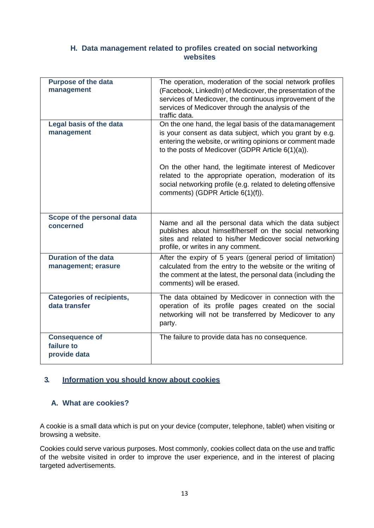## **H. Data management related to profiles created on social networking websites**

<span id="page-12-0"></span>

| <b>Purpose of the data</b><br>management            | The operation, moderation of the social network profiles<br>(Facebook, LinkedIn) of Medicover, the presentation of the<br>services of Medicover, the continuous improvement of the<br>services of Medicover through the analysis of the                                                                                                                                                                                                                                           |
|-----------------------------------------------------|-----------------------------------------------------------------------------------------------------------------------------------------------------------------------------------------------------------------------------------------------------------------------------------------------------------------------------------------------------------------------------------------------------------------------------------------------------------------------------------|
| Legal basis of the data<br>management               | traffic data.<br>On the one hand, the legal basis of the datamanagement<br>is your consent as data subject, which you grant by e.g.<br>entering the website, or writing opinions or comment made<br>to the posts of Medicover (GDPR Article 6(1)(a)).<br>On the other hand, the legitimate interest of Medicover<br>related to the appropriate operation, moderation of its<br>social networking profile (e.g. related to deleting offensive<br>comments) (GDPR Article 6(1)(f)). |
| Scope of the personal data<br>concerned             | Name and all the personal data which the data subject<br>publishes about himself/herself on the social networking<br>sites and related to his/her Medicover social networking<br>profile, or writes in any comment.                                                                                                                                                                                                                                                               |
| <b>Duration of the data</b><br>management; erasure  | After the expiry of 5 years (general period of limitation)<br>calculated from the entry to the website or the writing of<br>the comment at the latest, the personal data (including the<br>comments) will be erased.                                                                                                                                                                                                                                                              |
| <b>Categories of recipients,</b><br>data transfer   | The data obtained by Medicover in connection with the<br>operation of its profile pages created on the social<br>networking will not be transferred by Medicover to any<br>party.                                                                                                                                                                                                                                                                                                 |
| <b>Consequence of</b><br>failure to<br>provide data | The failure to provide data has no consequence.                                                                                                                                                                                                                                                                                                                                                                                                                                   |

## <span id="page-12-1"></span>**3. Information you should know about cookies**

#### **A. What are cookies?**

A cookie is a small data which is put on your device (computer, telephone, tablet) when visiting or browsing a website.

Cookies could serve various purposes. Most commonly, cookies collect data on the use and traffic of the website visited in order to improve the user experience, and in the interest of placing targeted advertisements.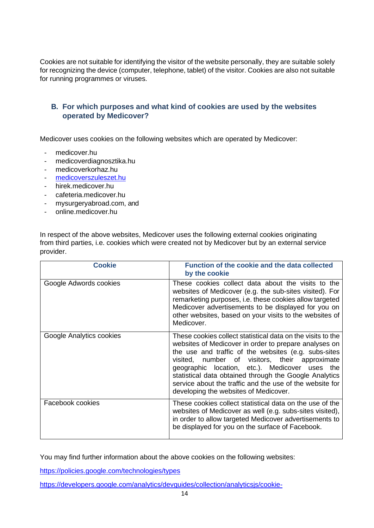Cookies are not suitable for identifying the visitor of the website personally, they are suitable solely for recognizing the device (computer, telephone, tablet) of the visitor. Cookies are also not suitable for running programmes or viruses.

## <span id="page-13-0"></span>**B. For which purposes and what kind of cookies are used by the websites operated by Medicover?**

Medicover uses cookies on the following websites which are operated by Medicover:

- medicover.hu
- medicoverdiagnosztika.hu
- medicoverkorhaz.hu
- [medicoverszuleszet.hu](https://medicoverszuleszet.hu/)
- hirek.medicover.hu
- cafeteria.medicover.hu
- mysurgeryabroad.com, and
- online.medicover.hu

In respect of the above websites, Medicover uses the following external cookies originating from third parties, i.e. cookies which were created not by Medicover but by an external service provider.

| <b>Cookie</b>            | Function of the cookie and the data collected<br>by the cookie                                                                                                                                                                                                                                                                                                                                                                                  |
|--------------------------|-------------------------------------------------------------------------------------------------------------------------------------------------------------------------------------------------------------------------------------------------------------------------------------------------------------------------------------------------------------------------------------------------------------------------------------------------|
| Google Adwords cookies   | These cookies collect data about the visits to the<br>websites of Medicover (e.g. the sub-sites visited). For<br>remarketing purposes, i.e. these cookies allow targeted<br>Medicover advertisements to be displayed for you on<br>other websites, based on your visits to the websites of<br>Medicover.                                                                                                                                        |
| Google Analytics cookies | These cookies collect statistical data on the visits to the<br>websites of Medicover in order to prepare analyses on<br>the use and traffic of the websites (e.g. subs-sites<br>visited, number of visitors, their approximate<br>geographic location, etc.). Medicover uses the<br>statistical data obtained through the Google Analytics<br>service about the traffic and the use of the website for<br>developing the websites of Medicover. |
| Facebook cookies         | These cookies collect statistical data on the use of the<br>websites of Medicover as well (e.g. subs-sites visited),<br>in order to allow targeted Medicover advertisements to<br>be displayed for you on the surface of Facebook.                                                                                                                                                                                                              |

You may find further information about the above cookies on the following websites:

<https://policies.google.com/technologies/types>

[https://developers.google.com/analytics/devguides/collection/analyticsjs/cookie-](https://developers.google.com/analytics/devguides/collection/analyticsjs/cookie-usage)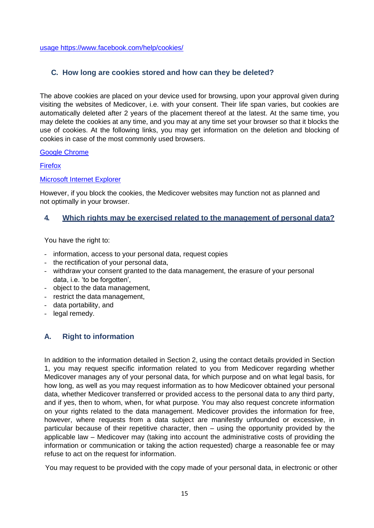[usage](https://developers.google.com/analytics/devguides/collection/analyticsjs/cookie-usage) <https://www.facebook.com/help/cookies/>

## **C. How long are cookies stored and how can they be deleted?**

<span id="page-14-0"></span>The above cookies are placed on your device used for browsing, upon your approval given during visiting the websites of Medicover, i.e. with your consent. Their life span varies, but cookies are automatically deleted after 2 years of the placement thereof at the latest. At the same time, you may delete the cookies at any time, and you may at any time set your browser so that it blocks the use of cookies. At the following links, you may get information on the deletion and blocking of cookies in case of the most commonly used browsers.

#### [Google Chrome](https://support.google.com/accounts/answer/61416?hl=hu)

[Firefox](https://support.mozilla.org/hu/kb/sutik-informacio-amelyet-weboldalak-tarolnak-szami?redirectlocale=hu&amp%3Bredirectslug=S%C3%BCtik%2Bkezel%C3%A9se)

#### [Microsoft Internet Explorer](https://support.microsoft.com/hu-hu/help/17442/windows-internet-explorer-delete-manage-cookies)

However, if you block the cookies, the Medicover websites may function not as planned and not optimally in your browser.

#### <span id="page-14-1"></span>**4. Which rights may be exercised related to the management of personal data?**

You have the right to:

- information, access to your personal data, request copies
- the rectification of your personal data,
- withdraw your consent granted to the data management, the erasure of your personal data, i.e. 'to be forgotten',
- object to the data management,
- restrict the data management,
- data portability, and
- legal remedy.

## <span id="page-14-2"></span>**A. Right to information**

In addition to the information detailed in Section 2, using the contact details provided in Section 1, you may request specific information related to you from Medicover regarding whether Medicover manages any of your personal data, for which purpose and on what legal basis, for how long, as well as you may request information as to how Medicover obtained your personal data, whether Medicover transferred or provided access to the personal data to any third party, and if yes, then to whom, when, for what purpose. You may also request concrete information on your rights related to the data management. Medicover provides the information for free, however, where requests from a data subject are manifestly unfounded or excessive, in particular because of their repetitive character, then – using the opportunity provided by the applicable law – Medicover may (taking into account the administrative costs of providing the information or communication or taking the action requested) charge a reasonable fee or may refuse to act on the request for information.

You may request to be provided with the copy made of your personal data, in electronic or other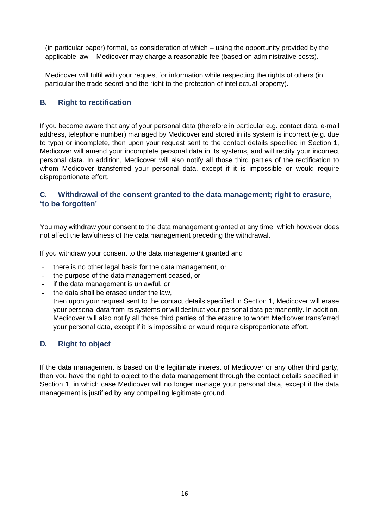(in particular paper) format, as consideration of which – using the opportunity provided by the applicable law – Medicover may charge a reasonable fee (based on administrative costs).

Medicover will fulfil with your request for information while respecting the rights of others (in particular the trade secret and the right to the protection of intellectual property).

### <span id="page-15-0"></span>**B. Right to rectification**

If you become aware that any of your personal data (therefore in particular e.g. contact data, e-mail address, telephone number) managed by Medicover and stored in its system is incorrect (e.g. due to typo) or incomplete, then upon your request sent to the contact details specified in Section 1, Medicover will amend your incomplete personal data in its systems, and will rectify your incorrect personal data. In addition, Medicover will also notify all those third parties of the rectification to whom Medicover transferred your personal data, except if it is impossible or would require disproportionate effort.

## <span id="page-15-1"></span>**C. Withdrawal of the consent granted to the data management; right to erasure, 'to be forgotten'**

You may withdraw your consent to the data management granted at any time, which however does not affect the lawfulness of the data management preceding the withdrawal.

If you withdraw your consent to the data management granted and

- there is no other legal basis for the data management, or
- the purpose of the data management ceased, or
- if the data management is unlawful, or
- the data shall be erased under the law.
- then upon your request sent to the contact details specified in Section 1, Medicover will erase your personal data from its systems or will destruct your personal data permanently. In addition, Medicover will also notify all those third parties of the erasure to whom Medicover transferred your personal data, except if it is impossible or would require disproportionate effort.

### <span id="page-15-2"></span>**D. Right to object**

If the data management is based on the legitimate interest of Medicover or any other third party, then you have the right to object to the data management through the contact details specified in Section 1, in which case Medicover will no longer manage your personal data, except if the data management is justified by any compelling legitimate ground.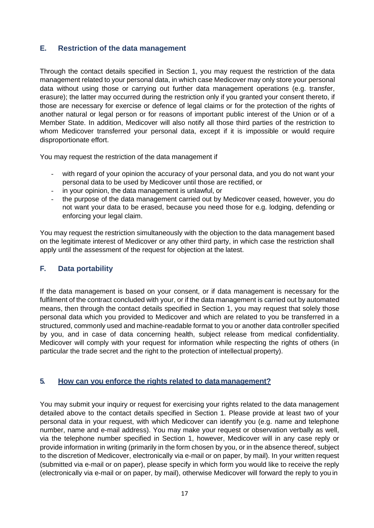## <span id="page-16-0"></span>**E. Restriction of the data management**

Through the contact details specified in Section 1, you may request the restriction of the data management related to your personal data, in which case Medicover may only store your personal data without using those or carrying out further data management operations (e.g. transfer, erasure); the latter may occurred during the restriction only if you granted your consent thereto, if those are necessary for exercise or defence of legal claims or for the protection of the rights of another natural or legal person or for reasons of important public interest of the Union or of a Member State. In addition, Medicover will also notify all those third parties of the restriction to whom Medicover transferred your personal data, except if it is impossible or would require disproportionate effort.

You may request the restriction of the data management if

- with regard of your opinion the accuracy of your personal data, and you do not want your personal data to be used by Medicover until those are rectified, or
- in your opinion, the data management is unlawful, or
- the purpose of the data management carried out by Medicover ceased, however, you do not want your data to be erased, because you need those for e.g. lodging, defending or enforcing your legal claim.

You may request the restriction simultaneously with the objection to the data management based on the legitimate interest of Medicover or any other third party, in which case the restriction shall apply until the assessment of the request for objection at the latest.

#### <span id="page-16-1"></span>**F. Data portability**

If the data management is based on your consent, or if data management is necessary for the fulfilment of the contract concluded with your, or if the data management is carried out by automated means, then through the contact details specified in Section 1, you may request that solely those personal data which you provided to Medicover and which are related to you be transferred in a structured, commonly used and machine-readable format to you or another data controller specified by you, and in case of data concerning health, subject release from medical confidentiality. Medicover will comply with your request for information while respecting the rights of others (in particular the trade secret and the right to the protection of intellectual property).

#### <span id="page-16-2"></span>**5. How can you enforce the rights related to datamanagement?**

You may submit your inquiry or request for exercising your rights related to the data management detailed above to the contact details specified in Section 1. Please provide at least two of your personal data in your request, with which Medicover can identify you (e.g. name and telephone number, name and e-mail address). You may make your request or observation verbally as well, via the telephone number specified in Section 1, however, Medicover will in any case reply or provide information in writing (primarily in the form chosen by you, or in the absence thereof, subject to the discretion of Medicover, electronically via e-mail or on paper, by mail). In your written request (submitted via e-mail or on paper), please specify in which form you would like to receive the reply (electronically via e-mail or on paper, by mail), otherwise Medicover will forward the reply to you in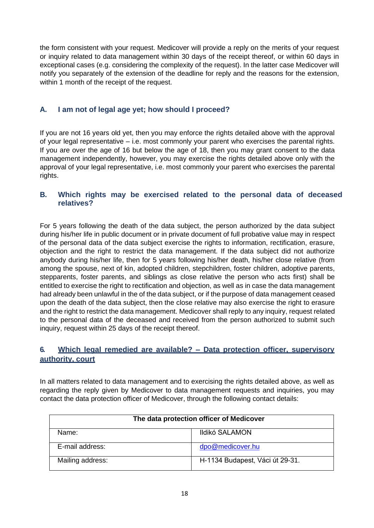the form consistent with your request. Medicover will provide a reply on the merits of your request or inquiry related to data management within 30 days of the receipt thereof, or within 60 days in exceptional cases (e.g. considering the complexity of the request). In the latter case Medicover will notify you separately of the extension of the deadline for reply and the reasons for the extension, within 1 month of the receipt of the request.

## <span id="page-17-0"></span>**A. I am not of legal age yet; how should I proceed?**

If you are not 16 years old yet, then you may enforce the rights detailed above with the approval of your legal representative – i.e. most commonly your parent who exercises the parental rights. If you are over the age of 16 but below the age of 18, then you may grant consent to the data management independently, however, you may exercise the rights detailed above only with the approval of your legal representative, i.e. most commonly your parent who exercises the parental rights.

## <span id="page-17-1"></span>**B. Which rights may be exercised related to the personal data of deceased relatives?**

For 5 years following the death of the data subject, the person authorized by the data subject during his/her life in public document or in private document of full probative value may in respect of the personal data of the data subject exercise the rights to information, rectification, erasure, objection and the right to restrict the data management. If the data subject did not authorize anybody during his/her life, then for 5 years following his/her death, his/her close relative (from among the spouse, next of kin, adopted children, stepchildren, foster children, adoptive parents, stepparents, foster parents, and siblings as close relative the person who acts first) shall be entitled to exercise the right to rectification and objection, as well as in case the data management had already been unlawful in the of the data subject, or if the purpose of data management ceased upon the death of the data subject, then the close relative may also exercise the right to erasure and the right to restrict the data management. Medicover shall reply to any inquiry, request related to the personal data of the deceased and received from the person authorized to submit such inquiry, request within 25 days of the receipt thereof.

## <span id="page-17-2"></span>**6. Which legal remedied are available? – Data protection officer, supervisory authority, court**

In all matters related to data management and to exercising the rights detailed above, as well as regarding the reply given by Medicover to data management requests and inquiries, you may contact the data protection officer of Medicover, through the following contact details:

| The data protection officer of Medicover |                                 |  |
|------------------------------------------|---------------------------------|--|
| Name:                                    | Ildikó SALAMON                  |  |
| E-mail address:                          | dpo@medicover.hu                |  |
| Mailing address:                         | H-1134 Budapest, Váci út 29-31. |  |